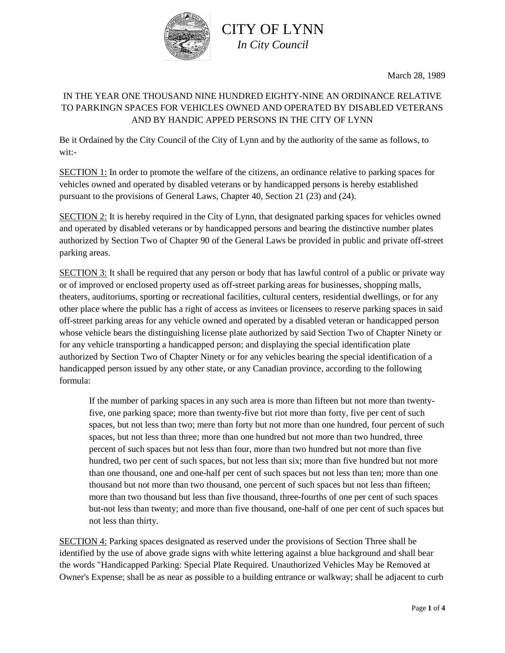

March 28, 1989

## IN THE YEAR ONE THOUSAND NINE HUNDRED EIGHTY-NINE AN ORDINANCE RELATIVE TO PARKINGN SPACES FOR VEHICLES OWNED AND OPERATED BY DISABLED VETERANS AND BY HANDIC APPED PERSONS IN THE CITY OF LYNN

Be it Ordained by the City Council of the City of Lynn and by the authority of the same as follows, to wit:-

SECTION 1: In order to promote the welfare of the citizens, an ordinance relative to parking spaces for vehicles owned and operated by disabled veterans or by handicapped persons is hereby established pursuant to the provisions of General Laws, Chapter 40, Section 21 (23) and (24).

SECTION 2: It is hereby required in the City of Lynn, that designated parking spaces for vehicles owned and operated by disabled veterans or by handicapped persons and bearing the distinctive number plates authorized by Section Two of Chapter 90 of the General Laws be provided in public and private off-street parking areas.

SECTION 3: It shall be required that any person or body that has lawful control of a public or private way or of improved or enclosed property used as off-street parking areas for businesses, shopping malls, theaters, auditoriums, sporting or recreational facilities, cultural centers, residential dwellings, or for any other place where the public has a right of access as invitees or licensees to reserve parking spaces in said off-street parking areas for any vehicle owned and operated by a disabled veteran or handicapped person whose vehicle bears the distinguishing license plate authorized by said Section Two of Chapter Ninety or for any vehicle transporting a handicapped person; and displaying the special identification plate authorized by Section Two of Chapter Ninety or for any vehicles bearing the special identification of a handicapped person issued by any other state, or any Canadian province, according to the following formula:

If the number of parking spaces in any such area is more than fifteen but not more than twentyfive, one parking space; more than twenty-five but riot more than forty, five per cent of such spaces, but not less than two; mere than forty but not more than one hundred, four percent of such spaces, but not less than three; more than one hundred but not more than two hundred, three percent of such spaces but not less than four, more than two hundred but not more than five hundred, two per cent of such spaces, but not less than six; more than five hundred but not more than one thousand, one and one-half per cent of such spaces but not less than ten; more than one thousand but not more than two thousand, one percent of such spaces but not less than fifteen; more than two thousand but less than five thousand, three-fourths of one per cent of such spaces but-not less than twenty; and more than five thousand, one-half of one per cent of such spaces but not less than thirty.

SECTION 4: Parking spaces designated as reserved under the provisions of Section Three shall be identified by the use of above grade signs with white lettering against a blue background and shall bear the words "Handicapped Parking: Special Plate Required. Unauthorized Vehicles May be Removed at Owner's Expense; shall be as near as possible to a building entrance or walkway; shall be adjacent to curb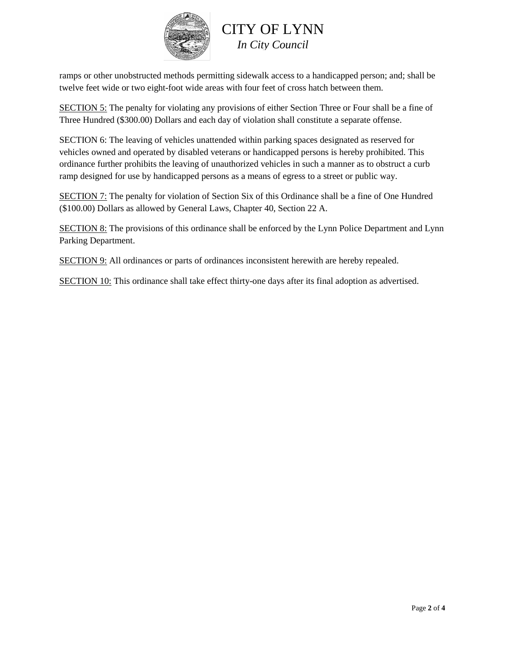

## CITY OF LYNN *In City Council*

ramps or other unobstructed methods permitting sidewalk access to a handicapped person; and; shall be twelve feet wide or two eight-foot wide areas with four feet of cross hatch between them.

SECTION 5: The penalty for violating any provisions of either Section Three or Four shall be a fine of Three Hundred (\$300.00) Dollars and each day of violation shall constitute a separate offense.

SECTION 6: The leaving of vehicles unattended within parking spaces designated as reserved for vehicles owned and operated by disabled veterans or handicapped persons is hereby prohibited. This ordinance further prohibits the leaving of unauthorized vehicles in such a manner as to obstruct a curb ramp designed for use by handicapped persons as a means of egress to a street or public way.

SECTION 7: The penalty for violation of Section Six of this Ordinance shall be a fine of One Hundred (\$100.00) Dollars as allowed by General Laws, Chapter 40, Section 22 A.

SECTION 8: The provisions of this ordinance shall be enforced by the Lynn Police Department and Lynn Parking Department.

SECTION 9: All ordinances or parts of ordinances inconsistent herewith are hereby repealed.

SECTION 10: This ordinance shall take effect thirty-one days after its final adoption as advertised.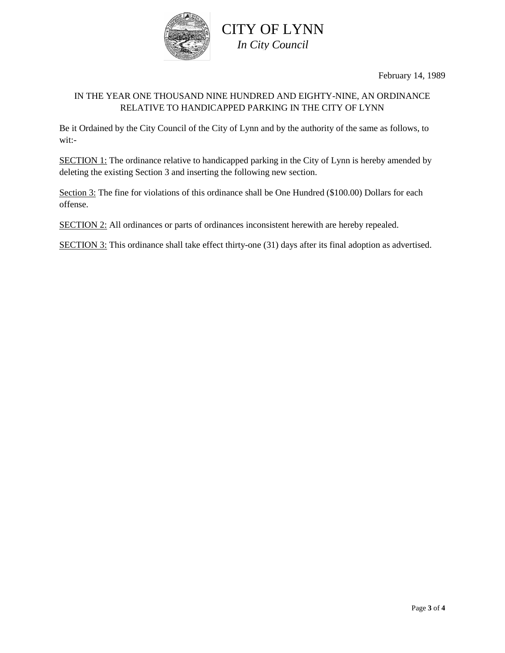

## IN THE YEAR ONE THOUSAND NINE HUNDRED AND EIGHTY-NINE, AN ORDINANCE RELATIVE TO HANDICAPPED PARKING IN THE CITY OF LYNN

Be it Ordained by the City Council of the City of Lynn and by the authority of the same as follows, to wit:-

SECTION 1: The ordinance relative to handicapped parking in the City of Lynn is hereby amended by deleting the existing Section 3 and inserting the following new section.

Section 3: The fine for violations of this ordinance shall be One Hundred (\$100.00) Dollars for each offense.

SECTION 2: All ordinances or parts of ordinances inconsistent herewith are hereby repealed.

SECTION 3: This ordinance shall take effect thirty-one (31) days after its final adoption as advertised.